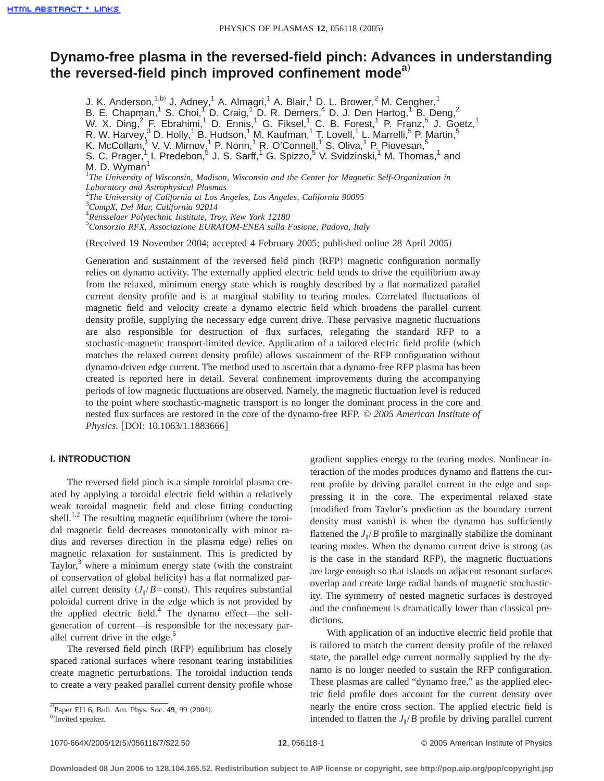# **Dynamo-free plasma in the reversed-field pinch: Advances in understanding the reversed-field pinch improved confinement modea**…

J. K. Anderson,<sup>1,b)</sup> J. Adney,<sup>1</sup> A. Almagri,<sup>1</sup> A. Blair,<sup>1</sup> D. L. Brower,<sup>2</sup> M. Cengher,<sup>1</sup> B. E. Chapman,<sup>1</sup> S. Choi,<sup>1</sup> D. Craig,<sup>1</sup> D. R. Demers,<sup>4</sup> D. J. Den Hartog,<sup>1</sup> B. Deng,<sup>2</sup> W. X. Ding,  $^2$  F. Ebrahimi, <sup>1</sup> D. Ennis, <sup>1</sup> G. Fiksel, <sup>1</sup> C. B. Forest, <sup>1</sup> P. Franz, <sup>5</sup> J. Goetz, <sup>1</sup> R. W. Harvey, $^3$  D. Holly,<sup>1</sup> B. Hudson,<sup>1</sup> M. Kaufman,<sup>1</sup> T. Lovell,<sup>1</sup> L. Marrelli,<sup>5</sup> P. Martin,<sup>5</sup> K. McCollam, <sup>1</sup> V. V. Mirnov, <sup>1</sup> P. Nonn, <sup>1</sup> R. O'Connell, <sup>1</sup> S. Oliva, <sup>1</sup> P. Piovesan, <sup>5</sup> S. C. Prager,<sup>1</sup> I. Predebon,<sup>5</sup> J. S. Sarff,<sup>1</sup> G. Spizzo,<sup>5</sup> V. Svidzinski,<sup>1</sup> M. Thomas,<sup>1</sup> and M. D. Wyman<sup>1</sup> <sup>1</sup>The University of Wisconsin, Madison, Wisconsin and the Center for Magnetic Self-Organization in *Laboratory and Astrophysical Plasmas* 2 *The University of California at Los Angeles, Los Angeles, California 90095* 3 *CompX, Del Mar, California 92014* 4 *Rensselaer Polytechnic Institute, Troy, New York 12180* 5 *Consorzio RFX, Associazione EURATOM-ENEA sulla Fusione, Padova, Italy* (Received 19 November 2004; accepted 4 February 2005; published online 28 April 2005)

Generation and sustainment of the reversed field pinch (RFP) magnetic configuration normally relies on dynamo activity. The externally applied electric field tends to drive the equilibrium away from the relaxed, minimum energy state which is roughly described by a flat normalized parallel current density profile and is at marginal stability to tearing modes. Correlated fluctuations of magnetic field and velocity create a dynamo electric field which broadens the parallel current density profile, supplying the necessary edge current drive. These pervasive magnetic fluctuations are also responsible for destruction of flux surfaces, relegating the standard RFP to a stochastic-magnetic transport-limited device. Application of a tailored electric field profile (which matches the relaxed current density profile) allows sustainment of the RFP configuration without dynamo-driven edge current. The method used to ascertain that a dynamo-free RFP plasma has been created is reported here in detail. Several confinement improvements during the accompanying periods of low magnetic fluctuations are observed. Namely, the magnetic fluctuation level is reduced to the point where stochastic-magnetic transport is no longer the dominant process in the core and nested flux surfaces are restored in the core of the dynamo-free RFP. © *2005 American Institute of Physics*. [DOI: 10.1063/1.1883666]

## **I. INTRODUCTION**

The reversed field pinch is a simple toroidal plasma created by applying a toroidal electric field within a relatively weak toroidal magnetic field and close fitting conducting shell.<sup>1,2</sup> The resulting magnetic equilibrium (where the toroidal magnetic field decreases monotonically with minor radius and reverses direction in the plasma edge) relies on magnetic relaxation for sustainment. This is predicted by Taylor, $3$  where a minimum energy state (with the constraint of conservation of global helicity) has a flat normalized parallel current density  $(J_{\parallel}/B=\text{const})$ . This requires substantial poloidal current drive in the edge which is not provided by the applied electric field.<sup>4</sup> The dynamo effect—the selfgeneration of current—is responsible for the necessary parallel current drive in the edge. $\delta$ 

The reversed field pinch (RFP) equilibrium has closely spaced rational surfaces where resonant tearing instabilities create magnetic perturbations. The toroidal induction tends to create a very peaked parallel current density profile whose

a)<br>  $\mu$ Paper EI1 6, Bull. Am. Phys. Soc. **49**, 99 (2004).

gradient supplies energy to the tearing modes. Nonlinear interaction of the modes produces dynamo and flattens the current profile by driving parallel current in the edge and suppressing it in the core. The experimental relaxed state (modified from Taylor's prediction as the boundary current density must vanish) is when the dynamo has sufficiently flattened the  $J_{\parallel}/B$  profile to marginally stabilize the dominant tearing modes. When the dynamo current drive is strong (as is the case in the standard RFP), the magnetic fluctuations are large enough so that islands on adjacent resonant surfaces overlap and create large radial bands of magnetic stochasticity. The symmetry of nested magnetic surfaces is destroyed and the confinement is dramatically lower than classical predictions.

With application of an inductive electric field profile that is tailored to match the current density profile of the relaxed state, the parallel edge current normally supplied by the dynamo is no longer needed to sustain the RFP configuration. These plasmas are called "dynamo free," as the applied electric field profile does account for the current density over nearly the entire cross section. The applied electric field is intended to flatten the  $J_{\parallel}/B$  profile by driving parallel current

b)Invited speaker.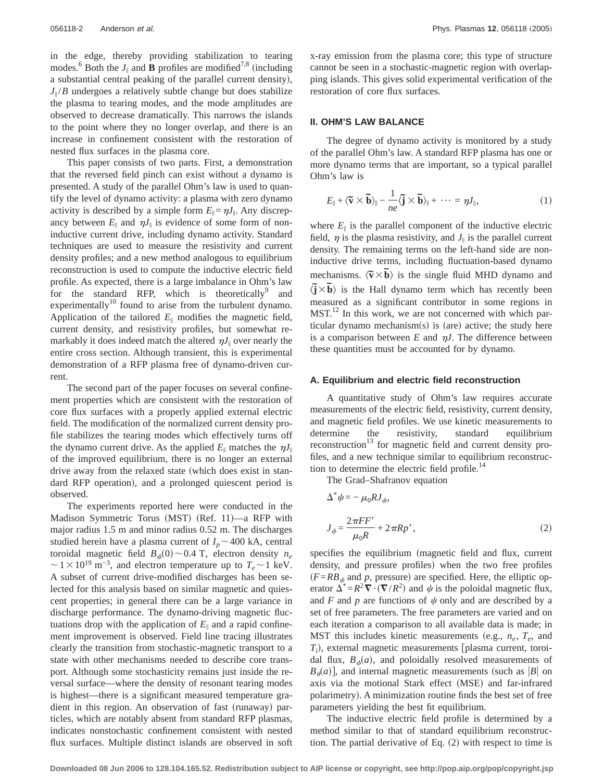in the edge, thereby providing stabilization to tearing modes.<sup>6</sup> Both the  $J_{\parallel}$  and **B** profiles are modified<sup>7,8</sup> (including a substantial central peaking of the parallel current density),  $J_{\parallel}/B$  undergoes a relatively subtle change but does stabilize the plasma to tearing modes, and the mode amplitudes are observed to decrease dramatically. This narrows the islands to the point where they no longer overlap, and there is an increase in confinement consistent with the restoration of nested flux surfaces in the plasma core.

This paper consists of two parts. First, a demonstration that the reversed field pinch can exist without a dynamo is presented. A study of the parallel Ohm's law is used to quantify the level of dynamo activity: a plasma with zero dynamo activity is described by a simple form  $E_{\parallel} = \eta J_{\parallel}$ . Any discrepancy between  $E_{\parallel}$  and  $\eta J_{\parallel}$  is evidence of some form of noninductive current drive, including dynamo activity. Standard techniques are used to measure the resistivity and current density profiles; and a new method analogous to equilibrium reconstruction is used to compute the inductive electric field profile. As expected, there is a large imbalance in Ohm's law for the standard RFP, which is theoretically and experimentally<sup>10</sup> found to arise from the turbulent dynamo. Application of the tailored  $E_{\parallel}$  modifies the magnetic field, current density, and resistivity profiles, but somewhat remarkably it does indeed match the altered  $nJ_{\parallel}$  over nearly the entire cross section. Although transient, this is experimental demonstration of a RFP plasma free of dynamo-driven current.

The second part of the paper focuses on several confinement properties which are consistent with the restoration of core flux surfaces with a properly applied external electric field. The modification of the normalized current density profile stabilizes the tearing modes which effectively turns off the dynamo current drive. As the applied  $E_{\parallel}$  matches the  $nJ_{\parallel}$ of the improved equilibrium, there is no longer an external drive away from the relaxed state (which does exist in standard RFP operation), and a prolonged quiescent period is observed.

The experiments reported here were conducted in the Madison Symmetric Torus (MST) (Ref. 11)—a RFP with major radius 1.5 m and minor radius 0.52 m. The discharges studied herein have a plasma current of  $I_p \sim 400$  kA, central toroidal magnetic field  $B_{\phi}(0) \sim 0.4$  T, electron density  $n_e$  $\sim$ 1×10<sup>19</sup> m<sup>-3</sup>, and electron temperature up to  $T_e \sim$ 1 keV. A subset of current drive-modified discharges has been selected for this analysis based on similar magnetic and quiescent properties; in general there can be a large variance in discharge performance. The dynamo-driving magnetic fluctuations drop with the application of  $E_{\parallel}$  and a rapid confinement improvement is observed. Field line tracing illustrates clearly the transition from stochastic-magnetic transport to a state with other mechanisms needed to describe core transport. Although some stochasticity remains just inside the reversal surface—where the density of resonant tearing modes is highest—there is a significant measured temperature gradient in this region. An observation of fast (runaway) particles, which are notably absent from standard RFP plasmas, indicates nonstochastic confinement consistent with nested flux surfaces. Multiple distinct islands are observed in soft x-ray emission from the plasma core; this type of structure cannot be seen in a stochastic-magnetic region with overlapping islands. This gives solid experimental verification of the restoration of core flux surfaces.

## **II. OHM'S LAW BALANCE**

The degree of dynamo activity is monitored by a study of the parallel Ohm's law. A standard RFP plasma has one or more dynamo terms that are important, so a typical parallel Ohm's law is

$$
E_{\parallel} + \langle \widetilde{\mathbf{v}} \times \widetilde{\mathbf{b}} \rangle_{\parallel} - \frac{1}{ne} \langle \widetilde{\mathbf{j}} \times \widetilde{\mathbf{b}} \rangle_{\parallel} + \cdots = \eta J_{\parallel}, \tag{1}
$$

where  $E_{\parallel}$  is the parallel component of the inductive electric field,  $\eta$  is the plasma resistivity, and  $J_{\parallel}$  is the parallel current density. The remaining terms on the left-hand side are noninductive drive terms, including fluctuation-based dynamo mechanisms.  $\langle \tilde{\mathbf{v}} \times \tilde{\mathbf{b}} \rangle$  is the single fluid MHD dynamo and  $\langle \tilde{j} \times \tilde{b} \rangle$  is the Hall dynamo term which has recently been measured as a significant contributor in some regions in  $MST<sup>12</sup>$  In this work, we are not concerned with which particular dynamo mechanism $(s)$  is (are) active; the study here is a comparison between  $E$  and  $nJ$ . The difference between these quantities must be accounted for by dynamo.

### **A. Equilibrium and electric field reconstruction**

A quantitative study of Ohm's law requires accurate measurements of the electric field, resistivity, current density, and magnetic field profiles. We use kinetic measurements to determine the resistivity, standard equilibrium reconstruction<sup>13</sup> for magnetic field and current density profiles, and a new technique similar to equilibrium reconstruction to determine the electric field profile.<sup>14</sup>

The Grad–Shafranov equation

$$
\Delta^* \psi = -\mu_0 R J_{\phi},
$$
  
\n
$$
J_{\phi} = \frac{2\pi FF'}{\mu_0 R} + 2\pi R p',
$$
\n(2)

specifies the equilibrium (magnetic field and flux, current density, and pressure profiles) when the two free profiles  $(F=R_{\phi})$  and *p*, pressure) are specified. Here, the elliptic operator  $\Delta^* = R^2 \nabla \cdot (\nabla / R^2)$  and  $\psi$  is the poloidal magnetic flux, and *F* and *p* are functions of  $\psi$  only and are described by a set of free parameters. The free parameters are varied and on each iteration a comparison to all available data is made; in MST this includes kinetic measurements (e.g.,  $n_e$ ,  $T_e$ , and  $T_i$ ), external magnetic measurements [plasma current, toroidal flux,  $B_{\phi}(a)$ , and poloidally resolved measurements of  $B_{\theta}(a)$ , and internal magnetic measurements (such as |*B*| on axis via the motional Stark effect (MSE) and far-infrared polarimetry). A minimization routine finds the best set of free parameters yielding the best fit equilibrium.

The inductive electric field profile is determined by a method similar to that of standard equilibrium reconstruction. The partial derivative of Eq.  $(2)$  with respect to time is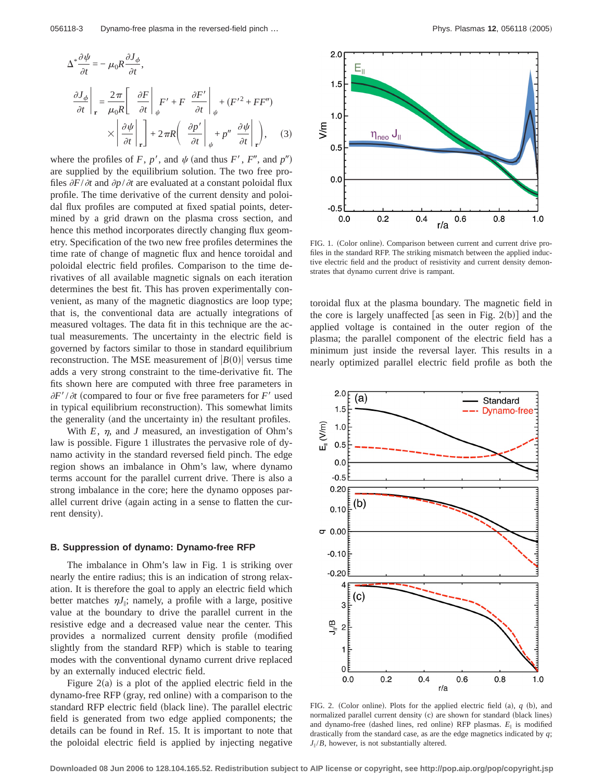$$
\Delta^* \frac{\partial \psi}{\partial t} = -\mu_0 R \frac{\partial J_{\phi}}{\partial t},
$$
\n
$$
\frac{\partial J_{\phi}}{\partial t}\Big|_{\mathbf{r}} = \frac{2\pi}{\mu_0 R} \Bigg[ \frac{\partial F}{\partial t} \Bigg|_{\psi} F' + F \frac{\partial F'}{\partial t} \Bigg|_{\psi} + (F'^2 + FF'')
$$
\n
$$
\times \left[ \frac{\partial \psi}{\partial t} \Bigg|_{\mathbf{r}} \right] + 2\pi R \left( \frac{\partial p'}{\partial t} \Bigg|_{\psi} + p'' \frac{\partial \psi}{\partial t} \Bigg|_{\mathbf{r}} \right), \quad (3)
$$

where the profiles of *F*,  $p'$ , and  $\psi$  (and thus *F'*, *F''*, and  $p''$ ) are supplied by the equilibrium solution. The two free profiles  $\partial F/\partial t$  and  $\partial p/\partial t$  are evaluated at a constant poloidal flux profile. The time derivative of the current density and poloidal flux profiles are computed at fixed spatial points, determined by a grid drawn on the plasma cross section, and hence this method incorporates directly changing flux geometry. Specification of the two new free profiles determines the time rate of change of magnetic flux and hence toroidal and poloidal electric field profiles. Comparison to the time derivatives of all available magnetic signals on each iteration determines the best fit. This has proven experimentally convenient, as many of the magnetic diagnostics are loop type; that is, the conventional data are actually integrations of measured voltages. The data fit in this technique are the actual measurements. The uncertainty in the electric field is governed by factors similar to those in standard equilibrium reconstruction. The MSE measurement of  $|B(0)|$  versus time adds a very strong constraint to the time-derivative fit. The fits shown here are computed with three free parameters in  $\partial F'/\partial t$  (compared to four or five free parameters for *F'* used in typical equilibrium reconstruction). This somewhat limits the generality (and the uncertainty in) the resultant profiles.

With  $E$ ,  $\eta$ , and *J* measured, an investigation of Ohm's law is possible. Figure 1 illustrates the pervasive role of dynamo activity in the standard reversed field pinch. The edge region shows an imbalance in Ohm's law, where dynamo terms account for the parallel current drive. There is also a strong imbalance in the core; here the dynamo opposes parallel current drive (again acting in a sense to flatten the current density).

### **B. Suppression of dynamo: Dynamo-free RFP**

The imbalance in Ohm's law in Fig. 1 is striking over nearly the entire radius; this is an indication of strong relaxation. It is therefore the goal to apply an electric field which better matches  $nJ_{\parallel}$ ; namely, a profile with a large, positive value at the boundary to drive the parallel current in the resistive edge and a decreased value near the center. This provides a normalized current density profile (modified slightly from the standard RFP) which is stable to tearing modes with the conventional dynamo current drive replaced by an externally induced electric field.

Figure  $2(a)$  is a plot of the applied electric field in the dynamo-free RFP (gray, red online) with a comparison to the standard RFP electric field (black line). The parallel electric field is generated from two edge applied components; the details can be found in Ref. 15. It is important to note that the poloidal electric field is applied by injecting negative



FIG. 1. (Color online). Comparison between current and current drive profiles in the standard RFP. The striking mismatch between the applied inductive electric field and the product of resistivity and current density demonstrates that dynamo current drive is rampant.

toroidal flux at the plasma boundary. The magnetic field in the core is largely unaffected [as seen in Fig.  $2(b)$ ] and the applied voltage is contained in the outer region of the plasma; the parallel component of the electric field has a minimum just inside the reversal layer. This results in a nearly optimized parallel electric field profile as both the



FIG. 2. (Color online). Plots for the applied electric field  $(a)$ ,  $q$   $(b)$ , and normalized parallel current density (c) are shown for standard (black lines) and dynamo-free (dashed lines, red online) RFP plasmas.  $E_{\parallel}$  is modified drastically from the standard case, as are the edge magnetics indicated by *q*;  $J_{\parallel}/B$ , however, is not substantially altered.

**Downloaded 08 Jun 2006 to 128.104.165.52. Redistribution subject to AIP license or copyright, see http://pop.aip.org/pop/copyright.jsp**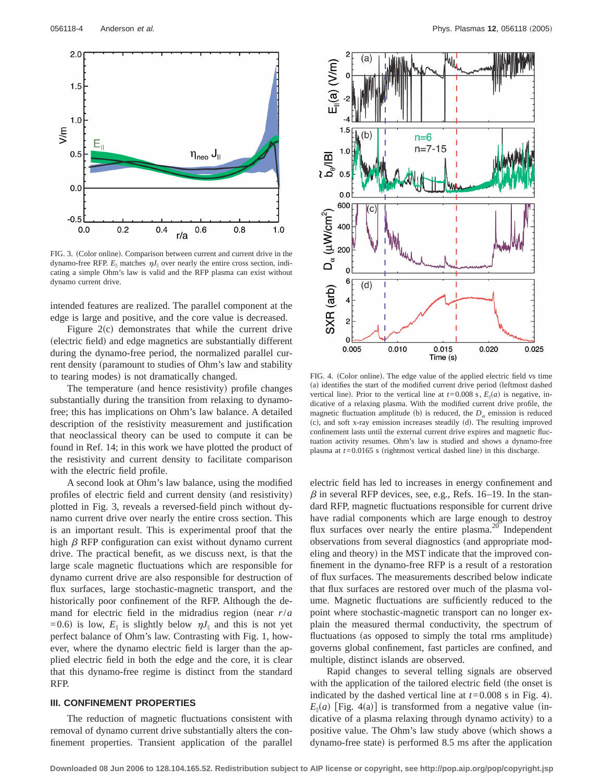

FIG. 3. (Color online). Comparison between current and current drive in the dynamo-free RFP.  $E_{\parallel}$  matches  $nJ_{\parallel}$  over nearly the entire cross section, indicating a simple Ohm's law is valid and the RFP plasma can exist without dynamo current drive.

intended features are realized. The parallel component at the edge is large and positive, and the core value is decreased.

Figure  $2(c)$  demonstrates that while the current drive (electric field) and edge magnetics are substantially different during the dynamo-free period, the normalized parallel current density (paramount to studies of Ohm's law and stability to tearing modes) is not dramatically changed.

The temperature (and hence resistivity) profile changes substantially during the transition from relaxing to dynamofree; this has implications on Ohm's law balance. A detailed description of the resistivity measurement and justification that neoclassical theory can be used to compute it can be found in Ref. 14; in this work we have plotted the product of the resistivity and current density to facilitate comparison with the electric field profile.

A second look at Ohm's law balance, using the modified profiles of electric field and current density (and resistivity) plotted in Fig. 3, reveals a reversed-field pinch without dynamo current drive over nearly the entire cross section. This is an important result. This is experimental proof that the high  $\beta$  RFP configuration can exist without dynamo current drive. The practical benefit, as we discuss next, is that the large scale magnetic fluctuations which are responsible for dynamo current drive are also responsible for destruction of flux surfaces, large stochastic-magnetic transport, and the historically poor confinement of the RFP. Although the demand for electric field in the midradius region (near  $r/a$ =0.6) is low,  $E_{\parallel}$  is slightly below  $nJ_{\parallel}$  and this is not yet perfect balance of Ohm's law. Contrasting with Fig. 1, however, where the dynamo electric field is larger than the applied electric field in both the edge and the core, it is clear that this dynamo-free regime is distinct from the standard RFP.

### **III. CONFINEMENT PROPERTIES**

The reduction of magnetic fluctuations consistent with removal of dynamo current drive substantially alters the confinement properties. Transient application of the parallel



FIG. 4. (Color online). The edge value of the applied electric field vs time (a) identifies the start of the modified current drive period (leftmost dashed vertical line). Prior to the vertical line at  $t=0.008$  s,  $E_{\parallel}(a)$  is negative, indicative of a relaxing plasma. With the modified current drive profile, the magnetic fluctuation amplitude (b) is reduced, the  $D_{\alpha}$  emission is reduced (c), and soft x-ray emission increases steadily (d). The resulting improved confinement lasts until the external current drive expires and magnetic fluctuation activity resumes. Ohm's law is studied and shows a dynamo-free plasma at  $t=0.0165$  s (rightmost vertical dashed line) in this discharge.

electric field has led to increases in energy confinement and  $\beta$  in several RFP devices, see, e.g., Refs. 16–19. In the standard RFP, magnetic fluctuations responsible for current drive have radial components which are large enough to destroy flux surfaces over nearly the entire plasma. $^{20}$  Independent observations from several diagnostics (and appropriate modeling and theory) in the MST indicate that the improved confinement in the dynamo-free RFP is a result of a restoration of flux surfaces. The measurements described below indicate that flux surfaces are restored over much of the plasma volume. Magnetic fluctuations are sufficiently reduced to the point where stochastic-magnetic transport can no longer explain the measured thermal conductivity, the spectrum of fluctuations (as opposed to simply the total rms amplitude) governs global confinement, fast particles are confined, and multiple, distinct islands are observed.

Rapid changes to several telling signals are observed with the application of the tailored electric field (the onset is indicated by the dashed vertical line at  $t=0.008$  s in Fig. 4).  $E_{\parallel}(a)$  [Fig. 4(a)] is transformed from a negative value (indicative of a plasma relaxing through dynamo activity) to a positive value. The Ohm's law study above (which shows a dynamo-free state) is performed 8.5 ms after the application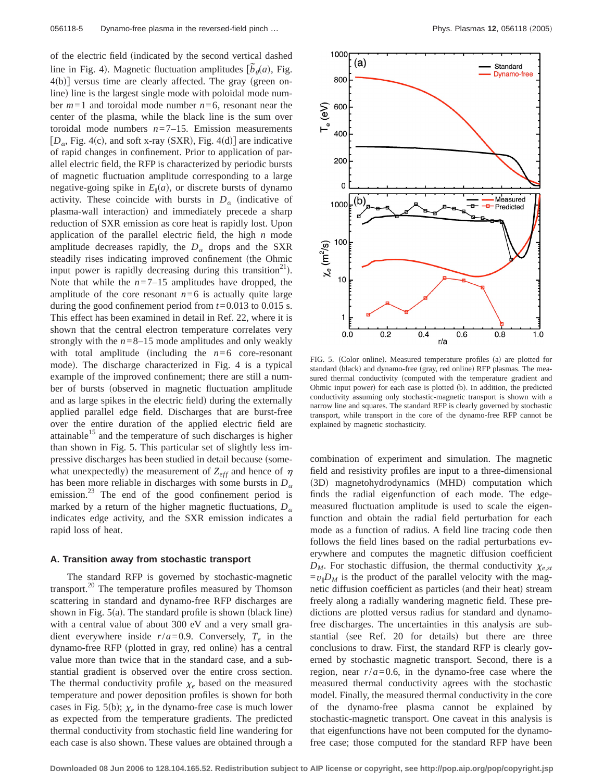of the electric field (indicated by the second vertical dashed line in Fig. 4). Magnetic fluctuation amplitudes  $[\tilde{b}_\theta(a), \text{Fig. 4})$ .  $4(b)$ ] versus time are clearly affected. The gray (green online) line is the largest single mode with poloidal mode number *m*=1 and toroidal mode number *n*=6, resonant near the center of the plasma, while the black line is the sum over toroidal mode numbers  $n=7-15$ . Emission measurements  $[D_\alpha, Fig. 4(c),$  and soft x-ray (SXR), Fig. 4(d)] are indicative of rapid changes in confinement. Prior to application of parallel electric field, the RFP is characterized by periodic bursts of magnetic fluctuation amplitude corresponding to a large negative-going spike in  $E_{\parallel}(a)$ , or discrete bursts of dynamo activity. These coincide with bursts in  $D_{\alpha}$  (indicative of plasma-wall interaction) and immediately precede a sharp reduction of SXR emission as core heat is rapidly lost. Upon application of the parallel electric field, the high *n* mode amplitude decreases rapidly, the  $D_{\alpha}$  drops and the SXR steadily rises indicating improved confinement (the Ohmic input power is rapidly decreasing during this transition<sup>21</sup>. Note that while the  $n=7-15$  amplitudes have dropped, the amplitude of the core resonant  $n=6$  is actually quite large during the good confinement period from *t*=0.013 to 0.015 s. This effect has been examined in detail in Ref. 22, where it is shown that the central electron temperature correlates very strongly with the  $n=8-15$  mode amplitudes and only weakly with total amplitude (including the  $n=6$  core-resonant mode). The discharge characterized in Fig. 4 is a typical example of the improved confinement; there are still a number of bursts (observed in magnetic fluctuation amplitude and as large spikes in the electric field) during the externally applied parallel edge field. Discharges that are burst-free over the entire duration of the applied electric field are attainable $15$  and the temperature of such discharges is higher than shown in Fig. 5. This particular set of slightly less impressive discharges has been studied in detail because (somewhat unexpectedly) the measurement of  $Z_{eff}$  and hence of  $\eta$ has been more reliable in discharges with some bursts in  $D_{\alpha}$ emission.<sup>23</sup> The end of the good confinement period is marked by a return of the higher magnetic fluctuations,  $D_{\alpha}$ indicates edge activity, and the SXR emission indicates a rapid loss of heat.

### **A. Transition away from stochastic transport**

The standard RFP is governed by stochastic-magnetic transport.<sup>20</sup> The temperature profiles measured by Thomson scattering in standard and dynamo-free RFP discharges are shown in Fig.  $5(a)$ . The standard profile is shown (black line) with a central value of about 300 eV and a very small gradient everywhere inside  $r/a = 0.9$ . Conversely,  $T_e$  in the dynamo-free RFP (plotted in gray, red online) has a central value more than twice that in the standard case, and a substantial gradient is observed over the entire cross section. The thermal conductivity profile  $\chi_e$  based on the measured temperature and power deposition profiles is shown for both cases in Fig. 5(b);  $\chi_e$  in the dynamo-free case is much lower as expected from the temperature gradients. The predicted thermal conductivity from stochastic field line wandering for each case is also shown. These values are obtained through a



FIG. 5. (Color online). Measured temperature profiles (a) are plotted for standard (black) and dynamo-free (gray, red online) RFP plasmas. The measured thermal conductivity (computed with the temperature gradient and Ohmic input power) for each case is plotted (b). In addition, the predicted conductivity assuming only stochastic-magnetic transport is shown with a narrow line and squares. The standard RFP is clearly governed by stochastic transport, while transport in the core of the dynamo-free RFP cannot be explained by magnetic stochasticity.

combination of experiment and simulation. The magnetic field and resistivity profiles are input to a three-dimensional (3D) magnetohydrodynamics (MHD) computation which finds the radial eigenfunction of each mode. The edgemeasured fluctuation amplitude is used to scale the eigenfunction and obtain the radial field perturbation for each mode as a function of radius. A field line tracing code then follows the field lines based on the radial perturbations everywhere and computes the magnetic diffusion coefficient  $D_M$ . For stochastic diffusion, the thermal conductivity  $\chi_{e,st}$  $= v_{\parallel}D_M$  is the product of the parallel velocity with the magnetic diffusion coefficient as particles (and their heat) stream freely along a radially wandering magnetic field. These predictions are plotted versus radius for standard and dynamofree discharges. The uncertainties in this analysis are substantial (see Ref. 20 for details) but there are three conclusions to draw. First, the standard RFP is clearly governed by stochastic magnetic transport. Second, there is a region, near  $r/a = 0.6$ , in the dynamo-free case where the measured thermal conductivity agrees with the stochastic model. Finally, the measured thermal conductivity in the core of the dynamo-free plasma cannot be explained by stochastic-magnetic transport. One caveat in this analysis is that eigenfunctions have not been computed for the dynamofree case; those computed for the standard RFP have been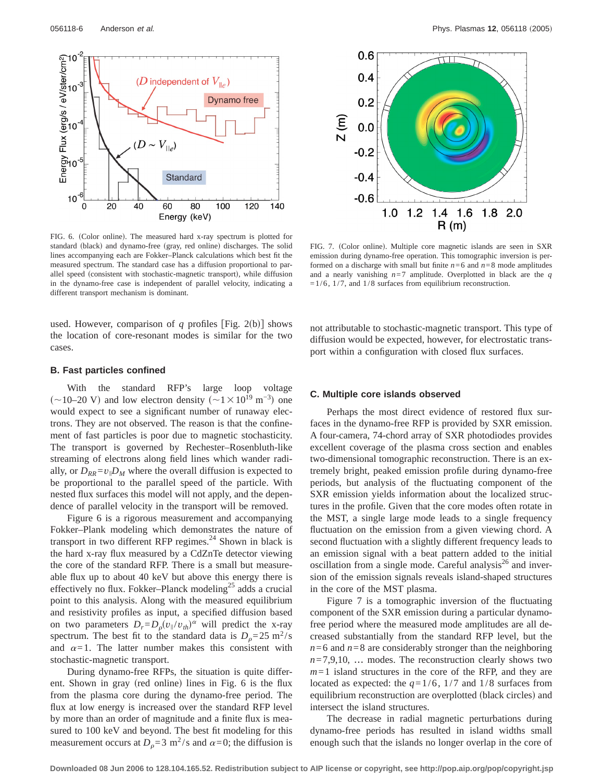

FIG. 6. (Color online). The measured hard x-ray spectrum is plotted for standard (black) and dynamo-free (gray, red online) discharges. The solid lines accompanying each are Fokker–Planck calculations which best fit the measured spectrum. The standard case has a diffusion proportional to parallel speed (consistent with stochastic-magnetic transport), while diffusion in the dynamo-free case is independent of parallel velocity, indicating a different transport mechanism is dominant.

used. However, comparison of  $q$  profiles [Fig. 2(b)] shows the location of core-resonant modes is similar for the two cases.

### **B. Fast particles confined**

With the standard RFP's large loop voltage  $\sim10-20$  V) and low electron density  $\sim1\times10^{19}$  m<sup>-3</sup>) one would expect to see a significant number of runaway electrons. They are not observed. The reason is that the confinement of fast particles is poor due to magnetic stochasticity. The transport is governed by Rechester–Rosenbluth-like streaming of electrons along field lines which wander radially, or  $D_{RR} = v_{\parallel}D_M$  where the overall diffusion is expected to be proportional to the parallel speed of the particle. With nested flux surfaces this model will not apply, and the dependence of parallel velocity in the transport will be removed.

Figure 6 is a rigorous measurement and accompanying Fokker–Plank modeling which demonstrates the nature of transport in two different RFP regimes.<sup>24</sup> Shown in black is the hard x-ray flux measured by a CdZnTe detector viewing the core of the standard RFP. There is a small but measureable flux up to about 40 keV but above this energy there is effectively no flux. Fokker–Planck modeling<sup>25</sup> adds a crucial point to this analysis. Along with the measured equilibrium and resistivity profiles as input, a specified diffusion based on two parameters  $D_r = D_\rho (v_\parallel/v_{th})^\alpha$  will predict the x-ray spectrum. The best fit to the standard data is  $D_0=25 \text{ m}^2/\text{s}$ and  $\alpha=1$ . The latter number makes this consistent with stochastic-magnetic transport.

During dynamo-free RFPs, the situation is quite different. Shown in gray (red online) lines in Fig. 6 is the flux from the plasma core during the dynamo-free period. The flux at low energy is increased over the standard RFP level by more than an order of magnitude and a finite flux is measured to 100 keV and beyond. The best fit modeling for this measurement occurs at  $D_0 = 3$  m<sup>2</sup>/s and  $\alpha = 0$ ; the diffusion is



FIG. 7. (Color online). Multiple core magnetic islands are seen in SXR emission during dynamo-free operation. This tomographic inversion is performed on a discharge with small but finite  $n=6$  and  $n=8$  mode amplitudes and a nearly vanishing *n*=7 amplitude. Overplotted in black are the *q*  $=1/6$ ,  $1/7$ , and  $1/8$  surfaces from equilibrium reconstruction.

not attributable to stochastic-magnetic transport. This type of diffusion would be expected, however, for electrostatic transport within a configuration with closed flux surfaces.

#### **C. Multiple core islands observed**

Perhaps the most direct evidence of restored flux surfaces in the dynamo-free RFP is provided by SXR emission. A four-camera, 74-chord array of SXR photodiodes provides excellent coverage of the plasma cross section and enables two-dimensional tomographic reconstruction. There is an extremely bright, peaked emission profile during dynamo-free periods, but analysis of the fluctuating component of the SXR emission yields information about the localized structures in the profile. Given that the core modes often rotate in the MST, a single large mode leads to a single frequency fluctuation on the emission from a given viewing chord. A second fluctuation with a slightly different frequency leads to an emission signal with a beat pattern added to the initial oscillation from a single mode. Careful analysis $^{26}$  and inversion of the emission signals reveals island-shaped structures in the core of the MST plasma.

Figure 7 is a tomographic inversion of the fluctuating component of the SXR emission during a particular dynamofree period where the measured mode amplitudes are all decreased substantially from the standard RFP level, but the  $n=6$  and  $n=8$  are considerably stronger than the neighboring  $n=7,9,10, \ldots$  modes. The reconstruction clearly shows two *m*=1 island structures in the core of the RFP, and they are located as expected: the  $q=1/6$ ,  $1/7$  and  $1/8$  surfaces from equilibrium reconstruction are overplotted (black circles) and intersect the island structures.

The decrease in radial magnetic perturbations during dynamo-free periods has resulted in island widths small enough such that the islands no longer overlap in the core of